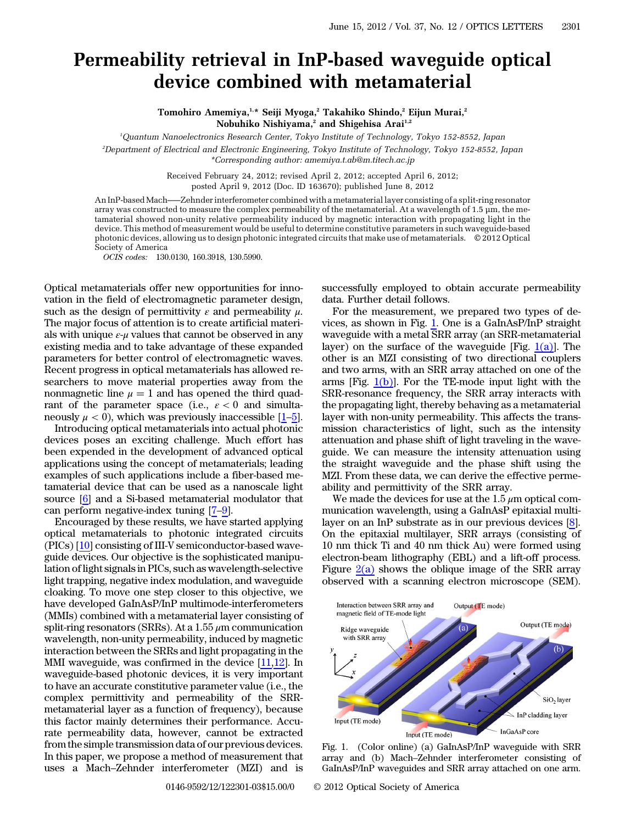## Permeability retrieval in InP-based waveguide optical device combined with metamaterial

Tomohiro Amemiya,<sup>1,\*</sup> Seiji Myoga,<sup>2</sup> Takahiko Shindo,<sup>2</sup> Eijun Murai,<sup>2</sup> Nobuhiko Nishiyama,<sup>2</sup> and Shigehisa Arai<sup>1,2</sup>

1 Quantum Nanoelectronics Research Center, Tokyo Institute of Technology, Tokyo 152-8552, Japan

2 Department of Electrical and Electronic Engineering, Tokyo Institute of Technology, Tokyo 152-8552, Japan \*Corresponding author: amemiya.t.ab@m.titech.ac.jp

Received February 24, 2012; revised April 2, 2012; accepted April 6, 2012;

posted April 9, 2012 (Doc. ID 163670); published June 8, 2012

An InP-basedMach–—Zehnder interferometer combined with a metamaterial layer consisting of a split-ring resonator array was constructed to measure the complex permeability of the metamaterial. At a wavelength of 1.5 μm, the metamaterial showed non-unity relative permeability induced by magnetic interaction with propagating light in the device. This method of measurement would be useful to determine constitutive parameters in such waveguide-based photonic devices, allowing us to design photonic integrated circuits that make use of metamaterials. © 2012 Optical Society of America

OCIS codes: 130.0130, 160.3918, 130.5990.

Optical metamaterials offer new opportunities for innovation in the field of electromagnetic parameter design, such as the design of permittivity  $\varepsilon$  and permeability  $\mu$ . The major focus of attention is to create artificial materials with unique  $\varepsilon-\mu$  values that cannot be observed in any existing media and to take advantage of these expanded parameters for better control of electromagnetic waves. Recent progress in optical metamaterials has allowed researchers to move material properties away from the nonmagnetic line  $\mu = 1$  and has opened the third quadrant of the parameter space (i.e.,  $\varepsilon < 0$  and simultasearchers to move material properties away from the<br>nonmagnetic line  $\mu = 1$  and has opened the third quad-<br>rant of the parameter space (i.e.,  $\varepsilon < 0$  and simulta-<br>neously  $\mu < 0$ ), which was previously inaccessible [\[1](#page-2-0)–[5](#page-2-1)

Introducing optical metamaterials into actual photonic devices poses an exciting challenge. Much effort has been expended in the development of advanced optical applications using the concept of metamaterials; leading examples of such applications include a fiber-based metamaterial device that can be used as a nanoscale light source [[6\]](#page-2-2) and a Si-based metamaterial modulator that can perform negative-index tuning  $[7-9]$  $[7-9]$  $[7-9]$  $[7-9]$ .

Encouraged by these results, we have started applying optical metamaterials to photonic integrated circuits (PICs) [\[10](#page-2-5)] consisting of III-V semiconductor-based waveguide devices. Our objective is the sophisticated manipulation of light signals in PICs, such as wavelength-selective light trapping, negative index modulation, and waveguide cloaking. To move one step closer to this objective, we have developed GaInAsP/InP multimode-interferometers (MMIs) combined with a metamaterial layer consisting of split-ring resonators (SRRs). At a  $1.55 \mu$ m communication wavelength, non-unity permeability, induced by magnetic interaction between the SRRs and light propagating in the MMI waveguide, was confirmed in the device [[11](#page-2-6)[,12](#page-2-7)]. In waveguide-based photonic devices, it is very important to have an accurate constitutive parameter value (i.e., the complex permittivity and permeability of the SRRmetamaterial layer as a function of frequency), because this factor mainly determines their performance. Accurate permeability data, however, cannot be extracted from the simple transmission data of our previous devices. In this paper, we propose a method of measurement that uses a Mach–Zehnder interferometer (MZI) and is

successfully employed to obtain accurate permeability data. Further detail follows.

For the measurement, we prepared two types of devices, as shown in Fig. [1.](#page-0-0) One is a GaInAsP/InP straight waveguide with a metal SRR array (an SRR-metamaterial layer) on the surface of the waveguide [Fig.  $1(a)$ ]. The other is an MZI consisting of two directional couplers and two arms, with an SRR array attached on one of the arms  $[Fig, 1(b)]$  $[Fig, 1(b)]$ . For the TE-mode input light with the SRR-resonance frequency, the SRR array interacts with the propagating light, thereby behaving as a metamaterial layer with non-unity permeability. This affects the transmission characteristics of light, such as the intensity attenuation and phase shift of light traveling in the waveguide. We can measure the intensity attenuation using the straight waveguide and the phase shift using the MZI. From these data, we can derive the effective permeability and permittivity of the SRR array.

We made the devices for use at the 1.5  $\mu$ m optical communication wavelength, using a GaInAsP epitaxial multilayer on an InP substrate as in our previous devices [\[8](#page-2-8)]. On the epitaxial multilayer, SRR arrays (consisting of 10 nm thick Ti and 40 nm thick Au) were formed using electron-beam lithography (EBL) and a lift-off process. Figure  $2(a)$  shows the oblique image of the SRR array observed with a scanning electron microscope (SEM).

<span id="page-0-0"></span>

Fig. 1. (Color online) (a) GaInAsP/InP waveguide with SRR GaInAsP/InP waveguides and SRR array attached on one arm.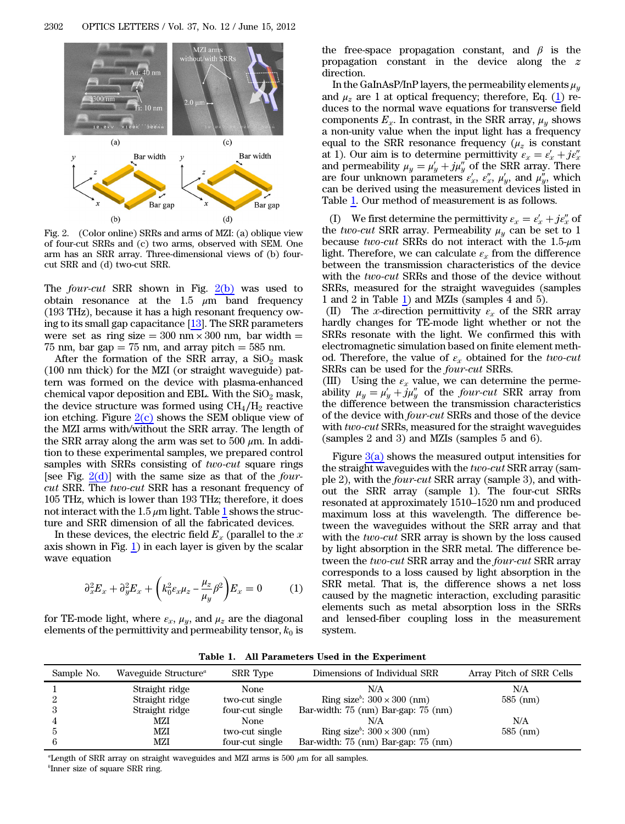<span id="page-1-0"></span>

Fig. 2. (Color online) SRRs and arms of MZI: (a) oblique view of four-cut SRRs and (c) two arms, observed with SEM. One arm has an SRR array. Three-dimensional views of (b) fourcut SRR and (d) two-cut SRR.

The *four-cut* SRR shown in Fig.  $2(b)$  was used to obtain resonance at the 1.5  $\mu$ m band frequency (193 THz), because it has a high resonant frequency owing to its small gap capacitance [\[13](#page-2-9)]. The SRR parameters were set as ring size  $= 300$  nm  $\times$  300 nm, bar width  $=$ 75 nm, bar gap  $= 75$  nm, and array pitch  $= 585$  nm.

After the formation of the SRR array, a  $SiO<sub>2</sub>$  mask (100 nm thick) for the MZI (or straight waveguide) pattern was formed on the device with plasma-enhanced chemical vapor deposition and EBL. With the  $SiO<sub>2</sub>$  mask, the device structure was formed using  $CH<sub>4</sub>/H<sub>2</sub>$  reactive ion etching. Figure  $2(c)$  shows the SEM oblique view of the MZI arms with/without the SRR array. The length of the SRR array along the arm was set to 500  $\mu$ m. In addition to these experimental samples, we prepared control samples with SRRs consisting of *two-cut* square rings [see Fig.  $2(d)$ ] with the same size as that of the *four*cut SRR. The two-cut SRR has a resonant frequency of 105 THz, which is lower than 193 THz; therefore, it does not interact with the [1](#page-1-1).5  $\mu$ m light. Table 1 shows the structure and SRR dimension of all the fabricated devices.

<span id="page-1-2"></span>In these devices, the electric field  $E<sub>x</sub>$  (parallel to the x axis shown in Fig. [1\)](#page-0-0) in each layer is given by the scalar wave equation

$$
\partial_x^2 E_x + \partial_y^2 E_x + \left(k_0^2 \varepsilon_x \mu_z - \frac{\mu_z}{\mu_y} \beta^2\right) E_x = 0 \tag{1}
$$

for TE-mode light, where  $\varepsilon_x$ ,  $\mu_y$ , and  $\mu_z$  are the diagonal elements of the permittivity and permeability tensor,  $k_0$  is

the free-space propagation constant, and  $\beta$  is the propagation constant in the device along the z direction.

In the GaInAsP/InP layers, the permeability elements  $\mu_u$ and  $\mu_z$  are 1 at optical frequency; therefore, Eq. ([1\)](#page-1-2) reduces to the normal wave equations for transverse field components  $E_x$ . In contrast, in the SRR array,  $\mu_y$  shows a non-unity value when the input light has a frequency equal to the SRR resonance frequency  $(\mu_z)$  is constant at 1). Our aim is to determine permittivity  $\varepsilon_x = \varepsilon'_x + j\varepsilon''_x$ and permeability  $\mu_y = \mu'_y + j\mu''_y$  of the SRR array. There are four unknown parameters  $\varepsilon'_x$ ,  $\varepsilon''_x$ ,  $\mu'_y$ , and  $\mu''_y$ , which can be derived using the measurement devices listed in Table [1](#page-1-1). Our method of measurement is as follows.

(I) We first determine the permittivity  $\varepsilon_x = \varepsilon'_x + j\varepsilon''_x$  of the two-cut SRR array. Permeability  $\mu_y$  can be set to 1 because two-cut SRRs do not interact with the  $1.5$ - $\mu$ m light. Therefore, we can calculate  $\varepsilon_x$  from the difference between the transmission characteristics of the device with the two-cut SRRs and those of the device without SRRs, measured for the straight waveguides (samples 1 and 2 in Table [1](#page-1-1)) and MZIs (samples 4 and 5).

(II) The x-direction permittivity  $\varepsilon_x$  of the SRR array hardly changes for TE-mode light whether or not the SRRs resonate with the light. We confirmed this with electromagnetic simulation based on finite element method. Therefore, the value of  $\varepsilon_x$  obtained for the two-cut SRRs can be used for the four-cut SRRs.

(III) Using the  $\varepsilon_r$  value, we can determine the permeability  $\mu_y = \mu'_y + j\mu''_y$  of the *four-cut* SRR array from the difference between the transmission characteristics of the device with four-cut SRRs and those of the device with two-cut SRRs, measured for the straight waveguides (samples 2 and 3) and MZIs (samples 5 and 6).

Figure  $3(a)$  shows the measured output intensities for Tigute  $\frac{\partial a}{\partial x}$  shows the measured output intensities for<br>the straight waveguides with the *two-cut* SRR array (sam-<br>ple 2), with the *four-cut* SRR array (sample 3), and with-<br>out the SRR array (sample 1). The four-c ple 2), with the four-cut SRR array (sample 3), and without the SRR array (sample 1). The four-cut SRRs maximum loss at this wavelength. The difference between the waveguides without the SRR array and that with the two-cut SRR array is shown by the loss caused by light absorption in the SRR metal. The difference between the two-cut SRR array and the four-cut SRR array corresponds to a loss caused by light absorption in the SRR metal. That is, the difference shows a net loss caused by the magnetic interaction, excluding parasitic elements such as metal absorption loss in the SRRs and lensed-fiber coupling loss in the measurement system.

Table 1. All Parameters Used in the Experiment

<span id="page-1-1"></span>

| Sample No. | Waveguide Structure <sup><i>a</i></sup> | SRR Type        | Dimensions of Individual SRR                                      | Array Pitch of SRR Cells |
|------------|-----------------------------------------|-----------------|-------------------------------------------------------------------|--------------------------|
|            | Straight ridge                          | None            | N/A                                                               | N/A                      |
|            | Straight ridge                          | two-cut single  | Ring size <sup>b</sup> : $300 \times 300$ (nm)                    | $585 \; (nm)$            |
|            | Straight ridge                          | four-cut single | Bar-width: 75 (nm) Bar-gap: 75 (nm)                               |                          |
|            | MZI                                     | None            | N/A                                                               | N/A                      |
|            | MZI                                     | two-cut single  | Ring size <sup><math>\degree</math></sup> : 300 $\times$ 300 (nm) | $585$ (nm)               |
|            | MZI                                     | four-cut single | Bar-width: $75 \text{ (nm)}$ Bar-gap: $75 \text{ (nm)}$           |                          |

"Length of SRR array on straight waveguides and MZI arms is  $500 \ \mu m$  for all samples. b Inner size of square SRR ring.